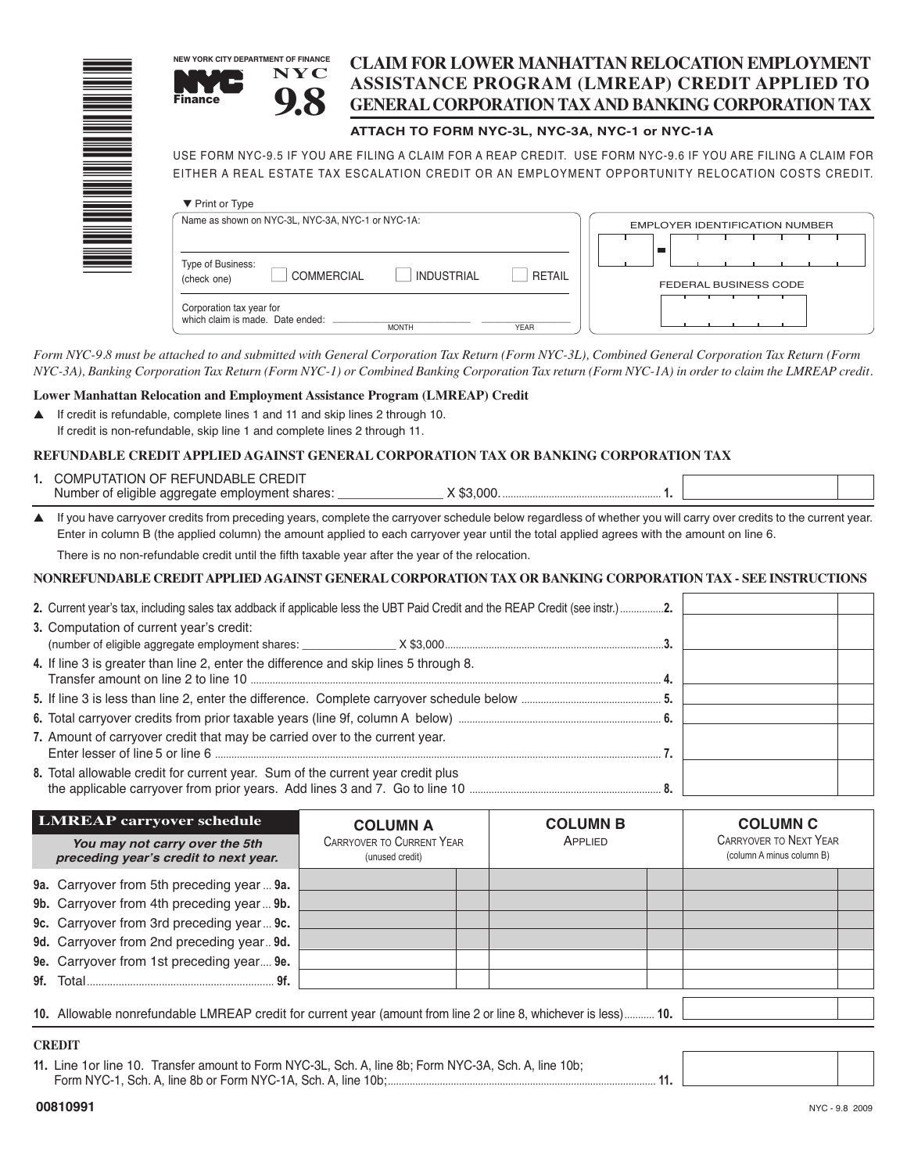|                                                                                                                | <b>NEW YORK CITY DEPARTMENT OF FINANCE</b><br><b>NYC</b><br><b>Finance</b>                                                                                                                                                          |                                                | <b>CLAIM FOR LOWER MANHATTAN RELOCATION EMPLOYMENT</b><br>ASSISTANCE PROGRAM (LMREAP) CREDIT APPLIED TO<br><b>GENERAL CORPORATION TAX AND BANKING CORPORATION TAX</b> |  |  |  |
|----------------------------------------------------------------------------------------------------------------|-------------------------------------------------------------------------------------------------------------------------------------------------------------------------------------------------------------------------------------|------------------------------------------------|-----------------------------------------------------------------------------------------------------------------------------------------------------------------------|--|--|--|
|                                                                                                                |                                                                                                                                                                                                                                     | ATTACH TO FORM NYC-3L, NYC-3A, NYC-1 or NYC-1A |                                                                                                                                                                       |  |  |  |
| A MARINA MARINA A MARINA A MARINA A MARINA A MARINA A MARINA A MARINA A MARINA A MARINA A MARINA A MARINA A MA | USE FORM NYC-9.5 IF YOU ARE FILING A CLAIM FOR A REAP CREDIT. USE FORM NYC-9.6 IF YOU ARE FILING A CLAIM FOR<br>EITHER A REAL ESTATE TAX ESCALATION CREDIT OR AN EMPLOYMENT OPPORTUNITY RELOCATION COSTS CREDIT.<br>▼ Print or Type |                                                |                                                                                                                                                                       |  |  |  |
|                                                                                                                | Name as shown on NYC-3L, NYC-3A, NYC-1 or NYC-1A:                                                                                                                                                                                   |                                                | <b>EMPLOYER IDENTIFICATION NUMBER</b>                                                                                                                                 |  |  |  |
|                                                                                                                | Type of Business:<br>COMMERCIAL<br>(check one)                                                                                                                                                                                      | <b>INDUSTRIAL</b>                              | <b>RETAIL</b><br><b>FEDERAL BUSINESS CODE</b>                                                                                                                         |  |  |  |
|                                                                                                                | Corporation tax year for<br>which claim is made. Date ended:                                                                                                                                                                        | <b>MONTH</b><br><b>YEAR</b>                    |                                                                                                                                                                       |  |  |  |

Form NYC-9.8 must be attached to and submitted with General Corporation Tax Return (Form NYC-3L), Combined General Corporation Tax Return (Form NYC-3A), Banking Corporation Tax Return (Form NYC-1) or Combined Banking Corporation Tax return (Form NYC-1A) in order to claim the LMREAP credit.

#### **Lower Manhattan Relocation and Employment Assistance Program (LMREAP) Credit**

▲ If credit is refundable, complete lines 1 and 11 and skip lines 2 through 10. If credit is non-refundable, skip line 1 and complete lines 2 through 11.

### **REFUNDABLE CREDIT APPLIED AGAINST GENERAL CORPORATION TAX OR BANKING CORPORATION TAX**

| COMPUTATION OF REFUNDABLE CREDIT                |    |  |
|-------------------------------------------------|----|--|
| Number of eligible aggregate employment shares: | ററ |  |

▲ If you have carryover credits from preceding years, complete the carryover schedule below regardless of whether you will carry over credits to the current year. Enter in column B (the applied column) the amount applied to each carryover year until the total applied agrees with the amount on line 6.

There is no non-refundable credit until the fifth taxable year after the year of the relocation.

#### **NONREFUNDABLE CREDITAPPLIED AGAINST GENERAL CORPORATION TAX OR BANKING CORPORATION TAX - SEE INSTRUCTIONS**

| 3. Computation of current year's credit:                                              |  |  |
|---------------------------------------------------------------------------------------|--|--|
|                                                                                       |  |  |
| 4. If line 3 is greater than line 2, enter the difference and skip lines 5 through 8. |  |  |
|                                                                                       |  |  |
|                                                                                       |  |  |
|                                                                                       |  |  |
| 7. Amount of carryover credit that may be carried over to the current year.           |  |  |
| 8. Total allowable credit for current year. Sum of the current year credit plus       |  |  |

| <b>LMREAP carryover schedule</b> |                                                                                                                  | <b>COLUMN A</b>                                     | <b>COLUMN B</b> | <b>COLUMN C</b>                                            |  |
|----------------------------------|------------------------------------------------------------------------------------------------------------------|-----------------------------------------------------|-----------------|------------------------------------------------------------|--|
|                                  | You may not carry over the 5th<br>preceding year's credit to next year.                                          | <b>CARRYOVER TO CURRENT YEAR</b><br>(unused credit) | APPLIED         | <b>CARRYOVER TO NEXT YEAR</b><br>(column A minus column B) |  |
|                                  | 9a. Carryover from 5th preceding year  9a.                                                                       |                                                     |                 |                                                            |  |
|                                  | 9b. Carryover from 4th preceding year 9b.                                                                        |                                                     |                 |                                                            |  |
|                                  | 9c. Carryover from 3rd preceding year 9c.                                                                        |                                                     |                 |                                                            |  |
|                                  | 9d. Carryover from 2nd preceding year 9d.                                                                        |                                                     |                 |                                                            |  |
|                                  | 9e. Carryover from 1st preceding year 9e.                                                                        |                                                     |                 |                                                            |  |
|                                  | 9f. Total 9f. 9f.                                                                                                |                                                     |                 |                                                            |  |
|                                  |                                                                                                                  |                                                     |                 |                                                            |  |
|                                  | 10. Allowable nonrefundable LMREAP credit for current year (amount from line 2 or line 8, whichever is less) 10. |                                                     |                 |                                                            |  |

#### **CREDIT**

**11.** Line 1or line 10. Transfer amount to Form NYC-3L, Sch. A, line 8b; Form NYC-3A, Sch. A, line 10b; Form NYC-1, Sch. A, line 8b or Form NYC-1A, Sch. A, line 10b;.................................................................................................. **11.**